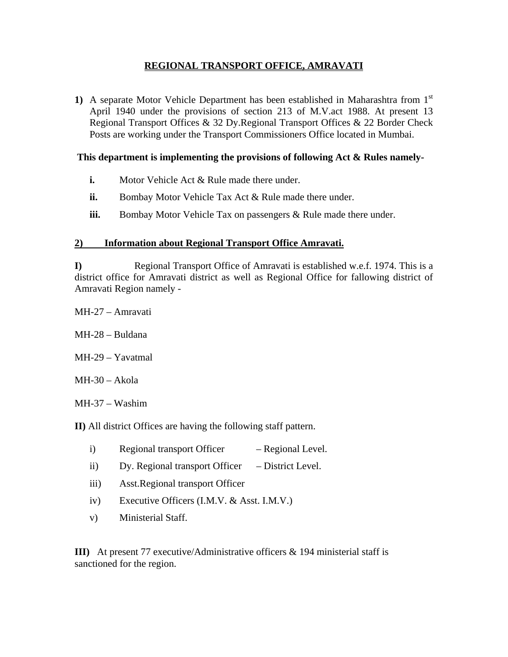# **REGIONAL TRANSPORT OFFICE, AMRAVATI**

**1)** A separate Motor Vehicle Department has been established in Maharashtra from 1st April 1940 under the provisions of section 213 of M.V.act 1988. At present 13 Regional Transport Offices & 32 Dy.Regional Transport Offices & 22 Border Check Posts are working under the Transport Commissioners Office located in Mumbai.

## **This department is implementing the provisions of following Act & Rules namely-**

- **i.** Motor Vehicle Act & Rule made there under.
- **ii.** Bombay Motor Vehicle Tax Act & Rule made there under.
- **iii.** Bombay Motor Vehicle Tax on passengers & Rule made there under.

### **2) Information about Regional Transport Office Amravati.**

**I)** Regional Transport Office of Amravati is established w.e.f. 1974. This is a district office for Amravati district as well as Regional Office for fallowing district of Amravati Region namely -

- MH-27 Amravati
- MH-28 Buldana
- MH-29 Yavatmal
- $MH-30 Akola$
- MH-37 Washim

**II)** All district Offices are having the following staff pattern.

- i) Regional transport Officer Regional Level.
- ii) Dy. Regional transport Officer District Level.
- iii) Asst.Regional transport Officer
- iv) Executive Officers (I.M.V. & Asst. I.M.V.)
- v) Ministerial Staff.

**III)** At present 77 executive/Administrative officers & 194 ministerial staff is sanctioned for the region.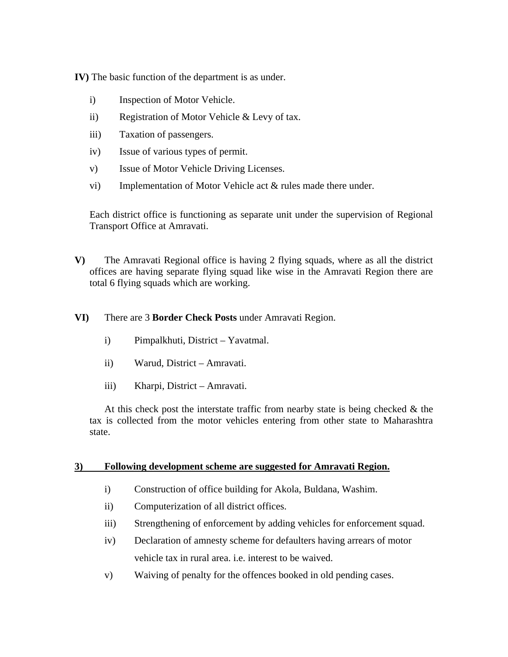**IV)** The basic function of the department is as under.

- i) Inspection of Motor Vehicle.
- ii) Registration of Motor Vehicle & Levy of tax.
- iii) Taxation of passengers.
- iv) Issue of various types of permit.
- v) Issue of Motor Vehicle Driving Licenses.
- vi) Implementation of Motor Vehicle act & rules made there under.

Each district office is functioning as separate unit under the supervision of Regional Transport Office at Amravati.

- **V)** The Amravati Regional office is having 2 flying squads, where as all the district offices are having separate flying squad like wise in the Amravati Region there are total 6 flying squads which are working.
- **VI)** There are 3 **Border Check Posts** under Amravati Region.
	- i) Pimpalkhuti, District Yavatmal.
	- ii) Warud, District Amravati.
	- iii) Kharpi, District Amravati.

At this check post the interstate traffic from nearby state is being checked  $\&$  the tax is collected from the motor vehicles entering from other state to Maharashtra state.

#### **3) Following development scheme are suggested for Amravati Region.**

- i) Construction of office building for Akola, Buldana, Washim.
- ii) Computerization of all district offices.
- iii) Strengthening of enforcement by adding vehicles for enforcement squad.
- iv) Declaration of amnesty scheme for defaulters having arrears of motor vehicle tax in rural area. i.e. interest to be waived.
- v) Waiving of penalty for the offences booked in old pending cases.